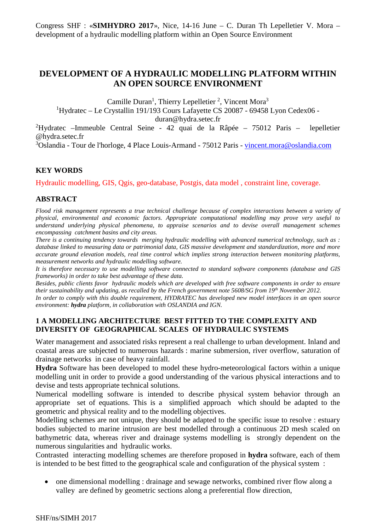# **DEVELOPMENT OF A HYDRAULIC MODELLING PLATFORM WITHIN AN OPEN SOURCE ENVIRONMENT**

Camille Duran<sup>1</sup>, Thierry Lepelletier<sup>2</sup>, Vincent Mora<sup>3</sup>

<sup>1</sup>Hydratec - Le Crystallin 191/193 Cours Lafayette CS 20087 - 69458 Lyon Cedex06 -

duran@hydra.setec.fr

2 Hydratec –Immeuble Central Seine - 42 quai de la Râpée – 75012 Paris – [lepelletier](mailto:duran@hydra.setec.fr) [@hydra.setec.fr](mailto:duran@hydra.setec.fr)

<sup>3</sup>Oslandia - Tour de l'horloge, 4 Place Louis-Armand - 75012 Paris - <u>[vincent.mora@oslandia.com](mailto:vincent.mora@oslandia.com)</u>

#### **KEY WORDS**

Hydraulic modelling, GIS, Qgis, geo-database, Postgis, data model , constraint line, coverage.

### **ABSTRACT**

*Flood risk management represents a true technical challenge because of complex interactions between a variety of physical, environmental and economic factors. Appropriate computational modelling may prove very useful to understand underlying physical phenomena, to appraise scenarios and to devise overall management schemes encompassing catchment basins and city areas.*

*There is a continuing tendency towards merging hydraulic modelling with advanced numerical technology, such as : database linked to measuring data or patrimonial data, GIS massive development and standardization, more and more accurate ground elevation models, real time control which implies strong interaction between monitoring platforms, measurement networks and hydraulic modelling software.*

*It is therefore necessary to use modelling software connected to standard software components (database and GIS frameworks) in order to take best advantage of these data.*

*Besides, public clients favor hydraulic models which are developed with free software components in order to ensure their sustainability and updating, as recalled by the French government note 5608/SG from 19th November 2012.*

*In order to comply with this double requirement, HYDRATEC has developed new model interfaces in an open source environment: hydra platform, in collaboration with OSLANDIA and IGN.*

#### **1 A MODELLING ARCHITECTURE BEST FITTED TO THE COMPLEXITY AND DIVERSITY OF GEOGRAPHICAL SCALES OF HYDRAULIC SYSTEMS**

Water management and associated risks represent a real challenge to urban development. Inland and coastal areas are subjected to numerous hazards : marine submersion, river overflow, saturation of drainage networks in case of heavy rainfall.

**Hydra** Software has been developed to model these hydro-meteorological factors within a unique modelling unit in order to provide a good understanding of the various physical interactions and to devise and tests appropriate technical solutions.

Numerical modelling software is intended to describe physical system behavior through an appropriate set of equations. This is a simplified approach which should be adapted to the geometric and physical reality and to the modelling objectives.

Modelling schemes are not unique, they should be adapted to the specific issue to resolve : estuary bodies subjected to marine intrusion are best modelled through a continuous 2D mesh scaled on bathymetric data, whereas river and drainage systems modelling is strongly dependent on the numerous singularities and hydraulic works.

Contrasted interacting modelling schemes are therefore proposed in **hydra** software, each of them is intended to be best fitted to the geographical scale and configuration of the physical system :

• one dimensional modelling : drainage and sewage networks, combined river flow along a valley are defined by geometric sections along a preferential flow direction,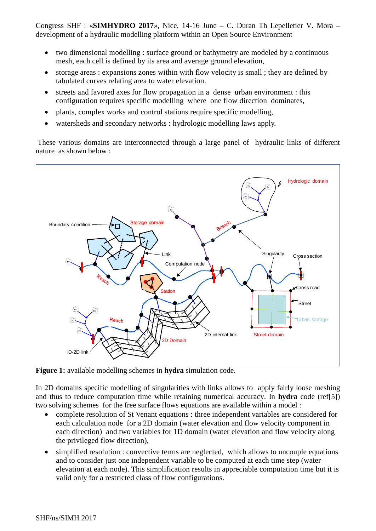- two dimensional modelling : surface ground or bathymetry are modeled by a continuous mesh, each cell is defined by its area and average ground elevation,
- storage areas : expansions zones within with flow velocity is small ; they are defined by tabulated curves relating area to water elevation.
- streets and favored axes for flow propagation in a dense urban environment : this configuration requires specific modelling where one flow direction dominates,
- plants, complex works and control stations require specific modelling,
- watersheds and secondary networks : hydrologic modelling laws apply.

These various domains are interconnected through a large panel of hydraulic links of different nature as shown below :



**Figure 1:** available modelling schemes in **hydra** simulation code.

In 2D domains specific modelling of singularities with links allows to apply fairly loose meshing and thus to reduce computation time while retaining numerical accuracy. In **hydra** code (ref[5]) two solving schemes for the free surface flows equations are available within a model :

- complete resolution of St Venant equations : three independent variables are considered for each calculation node for a 2D domain (water elevation and flow velocity component in each direction) and two variables for 1D domain (water elevation and flow velocity along the privileged flow direction),
- simplified resolution : convective terms are neglected, which allows to uncouple equations and to consider just one independent variable to be computed at each time step (water elevation at each node). This simplification results in appreciable computation time but it is valid only for a restricted class of flow configurations.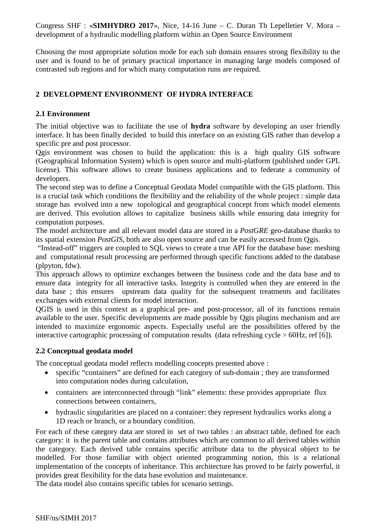Choosing the most appropriate solution mode for each sub domain ensures strong flexibility to the user and is found to be of primary practical importance in managing large models composed of contrasted sub regions and for which many computation runs are required.

## **2 DEVELOPMENT ENVIRONMENT OF HYDRA INTERFACE**

### **2.1 Environment**

The initial objective was to facilitate the use of **hydra** software by developing an user friendly interface. It has been finally decided to build this interface on an existing GIS rather than develop a specific pre and post processor.

Qgis environment was chosen to build the application: this is a high quality GIS software (Geographical Information System) which is open source and multi-platform (published under GPL license). This software allows to create business applications and to federate a community of developers.

The second step was to define a Conceptual Geodata Model compatible with the GIS platform. This is a crucial task which conditions the flexibility and the reliability of the whole project : simple data storage has evolved into a new topological and geographical concept from which model elements are derived. This evolution allows to capitalize business skills while ensuring data integrity for computation purposes.

The model architecture and all relevant model data are stored in a *PostGRE* geo-database thanks to its spatial extension *PostGIS*, both are also open source and can be easily accessed from Qgis.

"Instead-off" triggers are coupled to SQL views to create a true API for the database base: meshing and computational result processing are performed through specific functions added to the database (plpyton, fdw).

This approach allows to optimize exchanges between the business code and the data base and to ensure data integrity for all interactive tasks. Integrity is controlled when they are entered in the data base ; this ensures upstream data quality for the subsequent treatments and facilitates exchanges with external clients for model interaction.

QGIS is used in this context as a graphical pre- and post-processor, all of its functions remain available to the user. Specific developments are made possible by Qgis plugins mechanism and are intended to maximize ergonomic aspects. Especially useful are the possibilities offered by the interactive cartographic processing of computation results (data refreshing cycle > 60Hz, ref [6]).

### **2.2 Conceptual geodata model**

The conceptual geodata model reflects modelling concepts presented above :

- specific "containers" are defined for each category of sub-domain ; they are transformed into computation nodes during calculation,
- containers are interconnected through "link" elements: these provides appropriate flux connections between containers,
- hydraulic singularities are placed on a container: they represent hydraulics works along a 1D reach or branch, or a boundary condition.

For each of these category data are stored in set of two tables : an abstract table, defined for each category: it is the parent table and contains attributes which are common to all derived tables within the category. Each derived table contains specific attribute data to the physical object to be modelled. For those familiar with object oriented programming notion, this is a relational implementation of the concepts of inheritance. This architecture has proved to be fairly powerful, it provides great flexibility for the data base evolution and maintenance.

The data model also contains specific tables for scenario settings.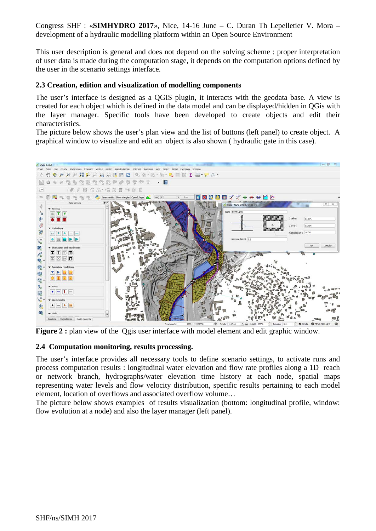This user description is general and does not depend on the solving scheme : proper interpretation of user data is made during the computation stage, it depends on the computation options defined by the user in the scenario settings interface.

### **2.3 Creation, edition and visualization of modelling components**

The user's interface is designed as a QGIS plugin, it interacts with the geodata base. A view is created for each object which is defined in the data model and can be displayed/hidden in QGis with the layer manager. Specific tools have been developed to create objects and edit their characteristics.

The picture below shows the user's plan view and the list of buttons (left panel) to create object. A graphical window to visualize and edit an object is also shown ( hydraulic gate in this case).



**Figure 2 :** plan view of the Qgis user interface with model element and edit graphic window.

### **2.4 Computation monitoring, results processing.**

The user's interface provides all necessary tools to define scenario settings, to activate runs and process computation results : longitudinal water elevation and flow rate profiles along a 1D reach or network branch, hydrographs/water elevation time history at each node, spatial maps representing water levels and flow velocity distribution, specific results pertaining to each model element, location of overflows and associated overflow volume…

The picture below shows examples of results visualization (bottom: longitudinal profile, window: flow evolution at a node) and also the layer manager (left panel).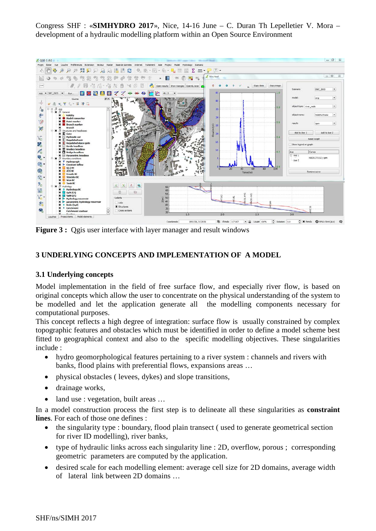

**Figure 3 :** Qgis user interface with layer manager and result windows

### **3 UNDERLYING CONCEPTS AND IMPLEMENTATION OF A MODEL**

### **3.1 Underlying concepts**

Model implementation in the field of free surface flow, and especially river flow, is based on original concepts which allow the user to concentrate on the physical understanding of the system to be modelled and let the application generate all the modelling components necessary for computational purposes.

This concept reflects a high degree of integration: surface flow is usually constrained by complex topographic features and obstacles which must be identified in order to define a model scheme best fitted to geographical context and also to the specific modelling objectives. These singularities include :

- hydro geomorphological features pertaining to a river system : channels and rivers with banks, flood plains with preferential flows, expansions areas …
- physical obstacles ( levees, dykes) and slope transitions,
- drainage works,
- land use : vegetation, built areas ...

In a model construction process the first step is to delineate all these singularities as **constraint lines**. For each of those one defines :

- the singularity type : boundary, flood plain transect ( used to generate geometrical section for river ID modelling), river banks,
- type of hydraulic links across each singularity line : 2D, overflow, porous ; corresponding geometric parameters are computed by the application.
- desired scale for each modelling element: average cell size for 2D domains, average width of lateral link between 2D domains …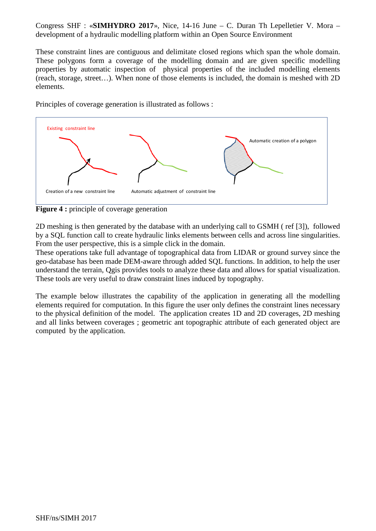These constraint lines are contiguous and delimitate closed regions which span the whole domain. These polygons form a coverage of the modelling domain and are given specific modelling properties by automatic inspection of physical properties of the included modelling elements (reach, storage, street…). When none of those elements is included, the domain is meshed with 2D elements.



Principles of coverage generation is illustrated as follows :

**Figure 4 :** principle of coverage generation

2D meshing is then generated by the database with an underlying call to GSMH ( ref [3]), followed by a SQL function call to create hydraulic links elements between cells and across line singularities. From the user perspective, this is a simple click in the domain.

These operations take full advantage of topographical data from LIDAR or ground survey since the geo-database has been made DEM-aware through added SQL functions. In addition, to help the user understand the terrain, Qgis provides tools to analyze these data and allows for spatial visualization. These tools are very useful to draw constraint lines induced by topography.

The example below illustrates the capability of the application in generating all the modelling elements required for computation. In this figure the user only defines the constraint lines necessary to the physical definition of the model. The application creates 1D and 2D coverages, 2D meshing and all links between coverages ; geometric ant topographic attribute of each generated object are computed by the application.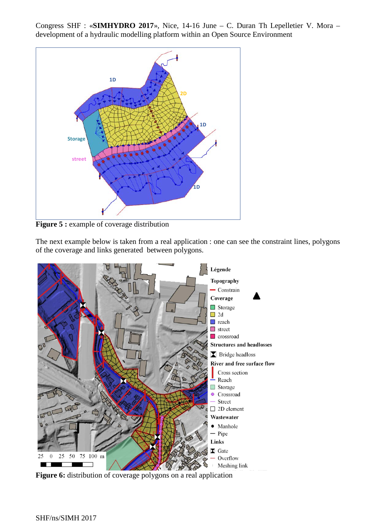

**Figure 5 :** example of coverage distribution

The next example below is taken from a real application : one can see the constraint lines, polygons of the coverage and links generated between polygons.



Figure 6: distribution of coverage polygons on a real application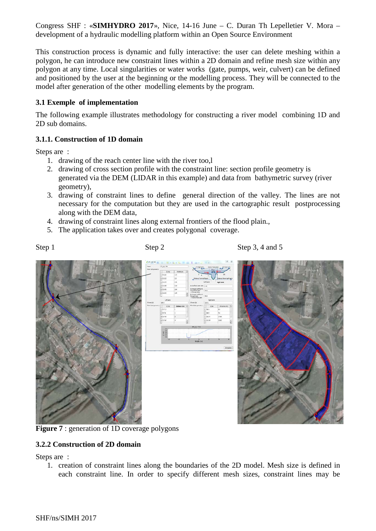This construction process is dynamic and fully interactive: the user can delete meshing within a polygon, he can introduce new constraint lines within a 2D domain and refine mesh size within any polygon at any time. Local singularities or water works (gate, pumps, weir, culvert) can be defined and positioned by the user at the beginning or the modelling process. They will be connected to the model after generation of the other modelling elements by the program.

### **3.1 Exemple of implementation**

The following example illustrates methodology for constructing a river model combining 1D and 2D sub domains.

### **3.1.1. Construction of 1D domain**

Steps are :

- 1. drawing of the reach center line with the river too,l
- 2. drawing of cross section profile with the constraint line: section profile geometry is generated via the DEM (LIDAR in this example) and data from bathymetric survey (river geometry),
- 3. drawing of constraint lines to define general direction of the valley. The lines are not necessary for the computation but they are used in the cartographic result postprocessing along with the DEM data,
- 4. drawing of constraint lines along external frontiers of the flood plain.,

Step 1 Step 2 Step 3, 4 and 5

5. The application takes over and creates polygonal coverage.



**Figure 7** : generation of 1D coverage polygons

## **3.2.2 Construction of 2D domain**

Steps are :

1. creation of constraint lines along the boundaries of the 2D model. Mesh size is defined in each constraint line. In order to specify different mesh sizes, constraint lines may be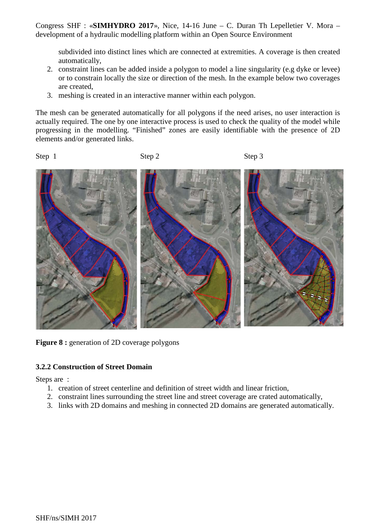subdivided into distinct lines which are connected at extremities. A coverage is then created automatically,

- 2. constraint lines can be added inside a polygon to model a line singularity (e.g dyke or levee) or to constrain locally the size or direction of the mesh. In the example below two coverages are created,
- 3. meshing is created in an interactive manner within each polygon.

The mesh can be generated automatically for all polygons if the need arises, no user interaction is actually required. The one by one interactive process is used to check the quality of the model while progressing in the modelling. "Finished" zones are easily identifiable with the presence of 2D elements and/or generated links.

Step 1 Step 2 Step 3



**Figure 8 :** generation of 2D coverage polygons

### **3.2.2 Construction of Street Domain**

Steps are :

- 1. creation of street centerline and definition of street width and linear friction,
- 2. constraint lines surrounding the street line and street coverage are crated automatically,
- 3. links with 2D domains and meshing in connected 2D domains are generated automatically.